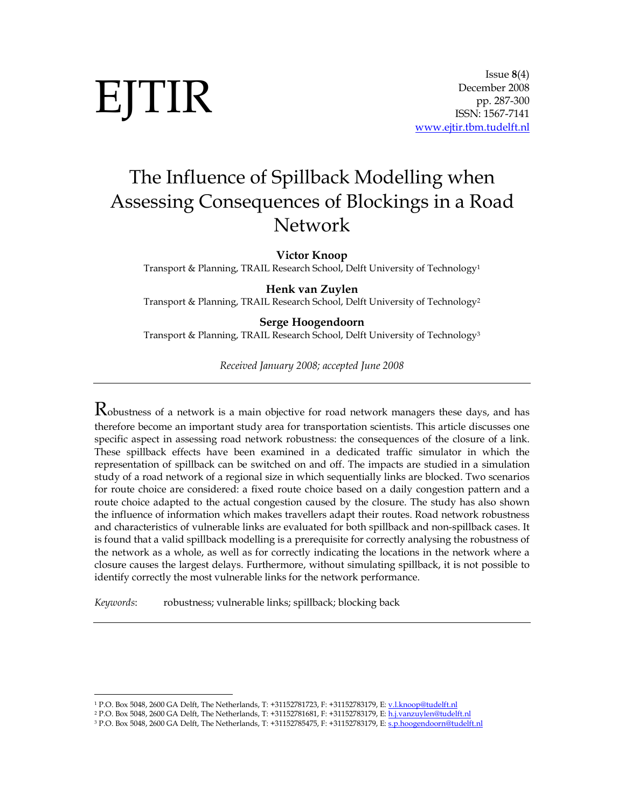# EJTIR

# The Influence of Spillback Modelling when Assessing Consequences of Blockings in a Road Network

Victor Knoop

Transport & Planning, TRAIL Research School, Delft University of Technology<sup>1</sup>

# Henk van Zuylen

Transport & Planning, TRAIL Research School, Delft University of Technology<sup>2</sup>

#### Serge Hoogendoorn

Transport & Planning, TRAIL Research School, Delft University of Technology<sup>3</sup>

Received January 2008; accepted June 2008

Robustness of a network is a main objective for road network managers these days, and has therefore become an important study area for transportation scientists. This article discusses one specific aspect in assessing road network robustness: the consequences of the closure of a link. These spillback effects have been examined in a dedicated traffic simulator in which the representation of spillback can be switched on and off. The impacts are studied in a simulation study of a road network of a regional size in which sequentially links are blocked. Two scenarios for route choice are considered: a fixed route choice based on a daily congestion pattern and a route choice adapted to the actual congestion caused by the closure. The study has also shown the influence of information which makes travellers adapt their routes. Road network robustness and characteristics of vulnerable links are evaluated for both spillback and non-spillback cases. It is found that a valid spillback modelling is a prerequisite for correctly analysing the robustness of the network as a whole, as well as for correctly indicating the locations in the network where a closure causes the largest delays. Furthermore, without simulating spillback, it is not possible to identify correctly the most vulnerable links for the network performance.

Keywords: robustness; vulnerable links; spillback; blocking back

1

<sup>&</sup>lt;sup>1</sup> P.O. Box 5048, 2600 GA Delft, The Netherlands, T: +31152781723, F: +31152783179, E: <u>v.l.knoop@tudelft.nl</u>

<sup>&</sup>lt;sup>2</sup> P.O. Box 5048, 2600 GA Delft, The Netherlands, T: +31152781681, F: +31152783179, E: <u>h.j.vanzuylen@tudelft.nl</u>

<sup>&</sup>lt;sup>3</sup> P.O. Box 5048, 2600 GA Delft, The Netherlands, T: +31152785475, F: +31152783179, E: <u>s.p.hoogendoorn@tudelft.nl</u>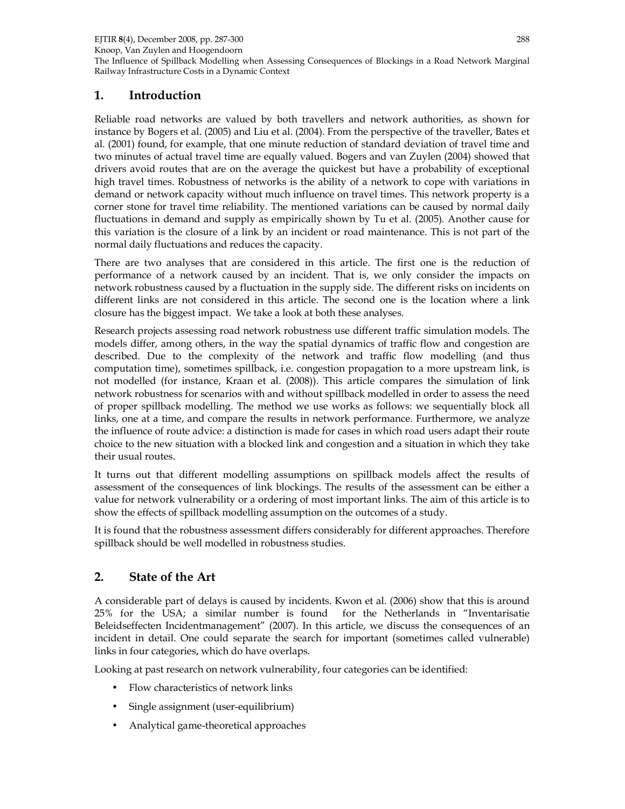The Influence of Spillback Modelling when Assessing Consequences of Blockings in a Road Network Marginal Railway Infrastructure Costs in a Dynamic Context

# 1. Introduction

Reliable road networks are valued by both travellers and network authorities, as shown for instance by Bogers et al. (2005) and Liu et al. (2004). From the perspective of the traveller, Bates et al. (2001) found, for example, that one minute reduction of standard deviation of travel time and two minutes of actual travel time are equally valued. Bogers and van Zuylen (2004) showed that drivers avoid routes that are on the average the quickest but have a probability of exceptional high travel times. Robustness of networks is the ability of a network to cope with variations in demand or network capacity without much influence on travel times. This network property is a corner stone for travel time reliability. The mentioned variations can be caused by normal daily fluctuations in demand and supply as empirically shown by Tu et al. (2005). Another cause for this variation is the closure of a link by an incident or road maintenance. This is not part of the normal daily fluctuations and reduces the capacity.

There are two analyses that are considered in this article. The first one is the reduction of performance of a network caused by an incident. That is, we only consider the impacts on network robustness caused by a fluctuation in the supply side. The different risks on incidents on different links are not considered in this article. The second one is the location where a link closure has the biggest impact. We take a look at both these analyses.

Research projects assessing road network robustness use different traffic simulation models. The models differ, among others, in the way the spatial dynamics of traffic flow and congestion are described. Due to the complexity of the network and traffic flow modelling (and thus computation time), sometimes spillback, i.e. congestion propagation to a more upstream link, is not modelled (for instance, Kraan et al. (2008)). This article compares the simulation of link network robustness for scenarios with and without spillback modelled in order to assess the need of proper spillback modelling. The method we use works as follows: we sequentially block all links, one at a time, and compare the results in network performance. Furthermore, we analyze the influence of route advice: a distinction is made for cases in which road users adapt their route choice to the new situation with a blocked link and congestion and a situation in which they take their usual routes.

It turns out that different modelling assumptions on spillback models affect the results of assessment of the consequences of link blockings. The results of the assessment can be either a value for network vulnerability or a ordering of most important links. The aim of this article is to show the effects of spillback modelling assumption on the outcomes of a study.

It is found that the robustness assessment differs considerably for different approaches. Therefore spillback should be well modelled in robustness studies.

# 2. State of the Art

A considerable part of delays is caused by incidents. Kwon et al. (2006) show that this is around 25% for the USA; a similar number is found for the Netherlands in "Inventarisatie Beleidseffecten Incidentmanagement" (2007). In this article, we discuss the consequences of an incident in detail. One could separate the search for important (sometimes called vulnerable) links in four categories, which do have overlaps.

Looking at past research on network vulnerability, four categories can be identified:

- Flow characteristics of network links
- Single assignment (user-equilibrium)
- Analytical game-theoretical approaches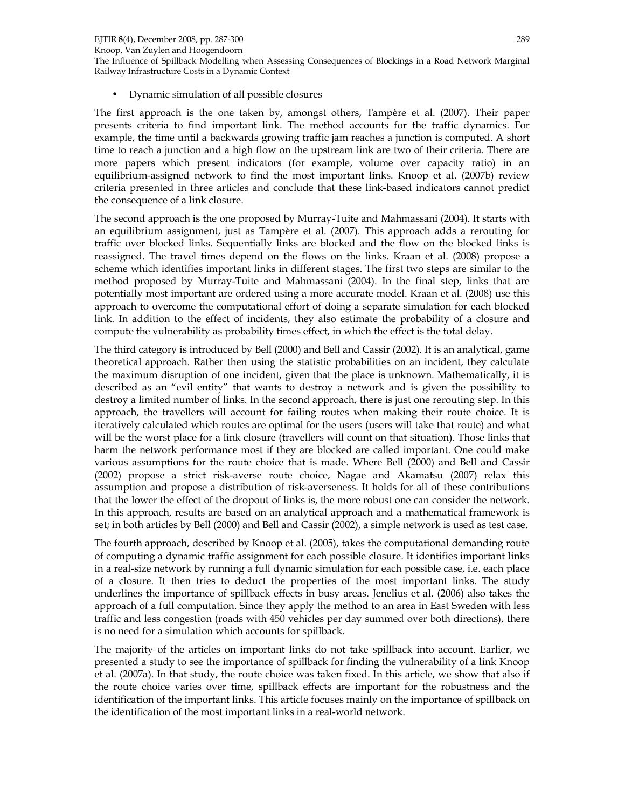Knoop, Van Zuylen and Hoogendoorn

The Influence of Spillback Modelling when Assessing Consequences of Blockings in a Road Network Marginal Railway Infrastructure Costs in a Dynamic Context

• Dynamic simulation of all possible closures

The first approach is the one taken by, amongst others, Tampère et al. (2007). Their paper presents criteria to find important link. The method accounts for the traffic dynamics. For example, the time until a backwards growing traffic jam reaches a junction is computed. A short time to reach a junction and a high flow on the upstream link are two of their criteria. There are more papers which present indicators (for example, volume over capacity ratio) in an equilibrium-assigned network to find the most important links. Knoop et al. (2007b) review criteria presented in three articles and conclude that these link-based indicators cannot predict the consequence of a link closure.

The second approach is the one proposed by Murray-Tuite and Mahmassani (2004). It starts with an equilibrium assignment, just as Tampère et al. (2007). This approach adds a rerouting for traffic over blocked links. Sequentially links are blocked and the flow on the blocked links is reassigned. The travel times depend on the flows on the links. Kraan et al. (2008) propose a scheme which identifies important links in different stages. The first two steps are similar to the method proposed by Murray-Tuite and Mahmassani (2004). In the final step, links that are potentially most important are ordered using a more accurate model. Kraan et al. (2008) use this approach to overcome the computational effort of doing a separate simulation for each blocked link. In addition to the effect of incidents, they also estimate the probability of a closure and compute the vulnerability as probability times effect, in which the effect is the total delay.

The third category is introduced by Bell (2000) and Bell and Cassir (2002). It is an analytical, game theoretical approach. Rather then using the statistic probabilities on an incident, they calculate the maximum disruption of one incident, given that the place is unknown. Mathematically, it is described as an "evil entity" that wants to destroy a network and is given the possibility to destroy a limited number of links. In the second approach, there is just one rerouting step. In this approach, the travellers will account for failing routes when making their route choice. It is iteratively calculated which routes are optimal for the users (users will take that route) and what will be the worst place for a link closure (travellers will count on that situation). Those links that harm the network performance most if they are blocked are called important. One could make various assumptions for the route choice that is made. Where Bell (2000) and Bell and Cassir (2002) propose a strict risk-averse route choice, Nagae and Akamatsu (2007) relax this assumption and propose a distribution of risk-averseness. It holds for all of these contributions that the lower the effect of the dropout of links is, the more robust one can consider the network. In this approach, results are based on an analytical approach and a mathematical framework is set; in both articles by Bell (2000) and Bell and Cassir (2002), a simple network is used as test case.

The fourth approach, described by Knoop et al. (2005), takes the computational demanding route of computing a dynamic traffic assignment for each possible closure. It identifies important links in a real-size network by running a full dynamic simulation for each possible case, i.e. each place of a closure. It then tries to deduct the properties of the most important links. The study underlines the importance of spillback effects in busy areas. Jenelius et al. (2006) also takes the approach of a full computation. Since they apply the method to an area in East Sweden with less traffic and less congestion (roads with 450 vehicles per day summed over both directions), there is no need for a simulation which accounts for spillback.

The majority of the articles on important links do not take spillback into account. Earlier, we presented a study to see the importance of spillback for finding the vulnerability of a link Knoop et al. (2007a). In that study, the route choice was taken fixed. In this article, we show that also if the route choice varies over time, spillback effects are important for the robustness and the identification of the important links. This article focuses mainly on the importance of spillback on the identification of the most important links in a real-world network.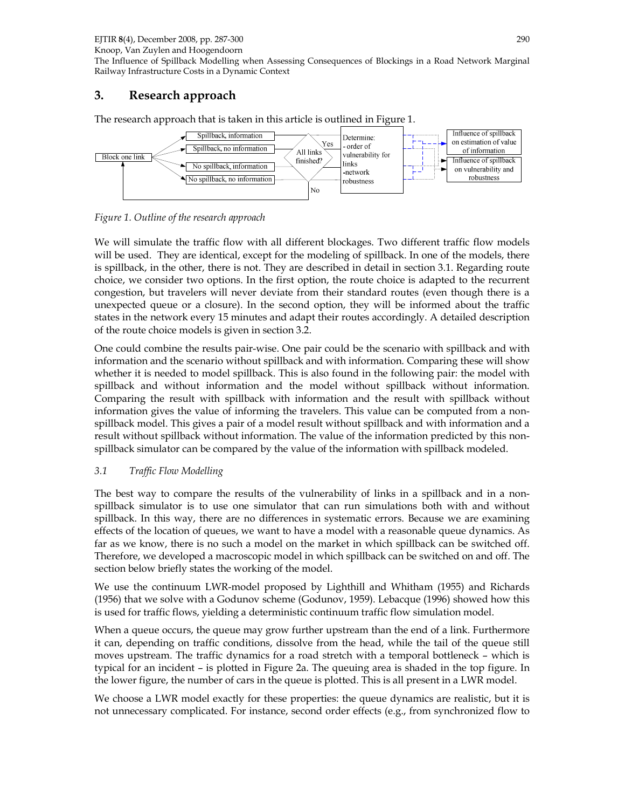Knoop, Van Zuylen and Hoogendoorn

The Influence of Spillback Modelling when Assessing Consequences of Blockings in a Road Network Marginal Railway Infrastructure Costs in a Dynamic Context

# 3. Research approach

The research approach that is taken in this article is outlined in Figure 1.



Figure 1. Outline of the research approach

We will simulate the traffic flow with all different blockages. Two different traffic flow models will be used. They are identical, except for the modeling of spillback. In one of the models, there is spillback, in the other, there is not. They are described in detail in section 3.1. Regarding route choice, we consider two options. In the first option, the route choice is adapted to the recurrent congestion, but travelers will never deviate from their standard routes (even though there is a unexpected queue or a closure). In the second option, they will be informed about the traffic states in the network every 15 minutes and adapt their routes accordingly. A detailed description of the route choice models is given in section 3.2.

One could combine the results pair-wise. One pair could be the scenario with spillback and with information and the scenario without spillback and with information. Comparing these will show whether it is needed to model spillback. This is also found in the following pair: the model with spillback and without information and the model without spillback without information. Comparing the result with spillback with information and the result with spillback without information gives the value of informing the travelers. This value can be computed from a nonspillback model. This gives a pair of a model result without spillback and with information and a result without spillback without information. The value of the information predicted by this nonspillback simulator can be compared by the value of the information with spillback modeled.

# 3.1 Traffic Flow Modelling

The best way to compare the results of the vulnerability of links in a spillback and in a nonspillback simulator is to use one simulator that can run simulations both with and without spillback. In this way, there are no differences in systematic errors. Because we are examining effects of the location of queues, we want to have a model with a reasonable queue dynamics. As far as we know, there is no such a model on the market in which spillback can be switched off. Therefore, we developed a macroscopic model in which spillback can be switched on and off. The section below briefly states the working of the model.

We use the continuum LWR-model proposed by Lighthill and Whitham (1955) and Richards (1956) that we solve with a Godunov scheme (Godunov, 1959). Lebacque (1996) showed how this is used for traffic flows, yielding a deterministic continuum traffic flow simulation model.

When a queue occurs, the queue may grow further upstream than the end of a link. Furthermore it can, depending on traffic conditions, dissolve from the head, while the tail of the queue still moves upstream. The traffic dynamics for a road stretch with a temporal bottleneck – which is typical for an incident – is plotted in Figure 2a. The queuing area is shaded in the top figure. In the lower figure, the number of cars in the queue is plotted. This is all present in a LWR model.

We choose a LWR model exactly for these properties: the queue dynamics are realistic, but it is not unnecessary complicated. For instance, second order effects (e.g., from synchronized flow to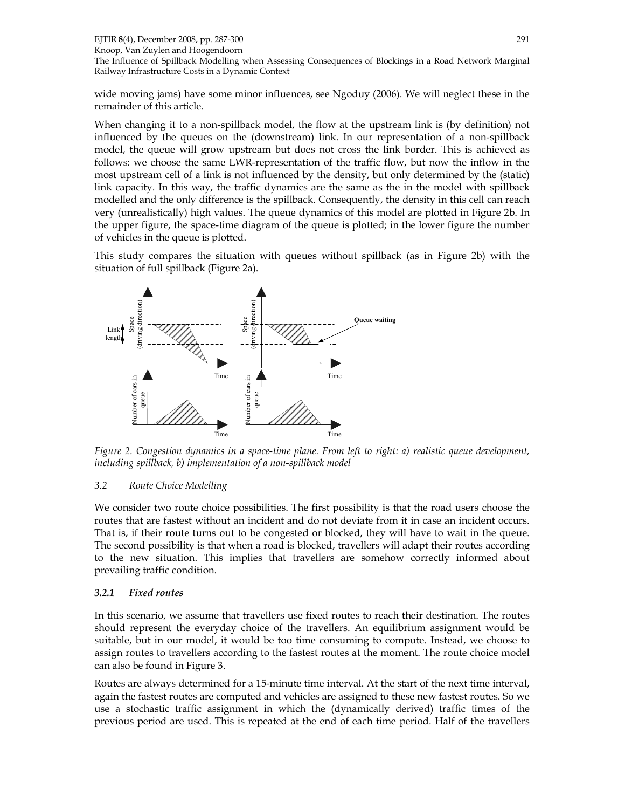EJTIR 8(4), December 2008, pp. 287-300 Knoop, Van Zuylen and Hoogendoorn The Influence of Spillback Modelling when Assessing Consequences of Blockings in a Road Network Marginal Railway Infrastructure Costs in a Dynamic Context 291

wide moving jams) have some minor influences, see Ngoduy (2006). We will neglect these in the remainder of this article.

When changing it to a non-spillback model, the flow at the upstream link is (by definition) not influenced by the queues on the (downstream) link. In our representation of a non-spillback model, the queue will grow upstream but does not cross the link border. This is achieved as follows: we choose the same LWR-representation of the traffic flow, but now the inflow in the most upstream cell of a link is not influenced by the density, but only determined by the (static) link capacity. In this way, the traffic dynamics are the same as the in the model with spillback modelled and the only difference is the spillback. Consequently, the density in this cell can reach very (unrealistically) high values. The queue dynamics of this model are plotted in Figure 2b. In the upper figure, the space-time diagram of the queue is plotted; in the lower figure the number of vehicles in the queue is plotted.

This study compares the situation with queues without spillback (as in Figure 2b) with the situation of full spillback (Figure 2a).



Figure 2. Congestion dynamics in a space-time plane. From left to right: a) realistic queue development, including spillback, b) implementation of a non-spillback model

#### 3.2 Route Choice Modelling

We consider two route choice possibilities. The first possibility is that the road users choose the routes that are fastest without an incident and do not deviate from it in case an incident occurs. That is, if their route turns out to be congested or blocked, they will have to wait in the queue. The second possibility is that when a road is blocked, travellers will adapt their routes according to the new situation. This implies that travellers are somehow correctly informed about prevailing traffic condition.

#### 3.2.1 Fixed routes

In this scenario, we assume that travellers use fixed routes to reach their destination. The routes should represent the everyday choice of the travellers. An equilibrium assignment would be suitable, but in our model, it would be too time consuming to compute. Instead, we choose to assign routes to travellers according to the fastest routes at the moment. The route choice model can also be found in Figure 3.

Routes are always determined for a 15-minute time interval. At the start of the next time interval, again the fastest routes are computed and vehicles are assigned to these new fastest routes. So we use a stochastic traffic assignment in which the (dynamically derived) traffic times of the previous period are used. This is repeated at the end of each time period. Half of the travellers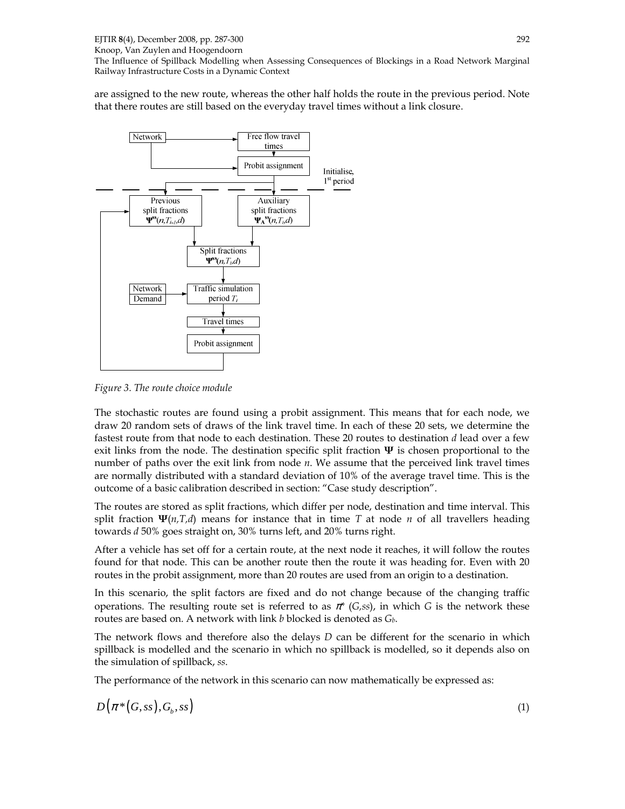Knoop, Van Zuylen and Hoogendoorn

The Influence of Spillback Modelling when Assessing Consequences of Blockings in a Road Network Marginal Railway Infrastructure Costs in a Dynamic Context

are assigned to the new route, whereas the other half holds the route in the previous period. Note that there routes are still based on the everyday travel times without a link closure.



Figure 3. The route choice module

The stochastic routes are found using a probit assignment. This means that for each node, we draw 20 random sets of draws of the link travel time. In each of these 20 sets, we determine the fastest route from that node to each destination. These 20 routes to destination d lead over a few exit links from the node. The destination specific split fraction  $\Psi$  is chosen proportional to the number of paths over the exit link from node  $n$ . We assume that the perceived link travel times are normally distributed with a standard deviation of 10% of the average travel time. This is the outcome of a basic calibration described in section: "Case study description".

The routes are stored as split fractions, which differ per node, destination and time interval. This split fraction  $\Psi(n,T,d)$  means for instance that in time T at node n of all travellers heading towards d 50% goes straight on, 30% turns left, and 20% turns right.

After a vehicle has set off for a certain route, at the next node it reaches, it will follow the routes found for that node. This can be another route then the route it was heading for. Even with 20 routes in the probit assignment, more than 20 routes are used from an origin to a destination.

In this scenario, the split factors are fixed and do not change because of the changing traffic operations. The resulting route set is referred to as  $\pi^*$  (G,ss), in which G is the network these routes are based on. A network with link b blocked is denoted as  $G_b$ .

The network flows and therefore also the delays  $D$  can be different for the scenario in which spillback is modelled and the scenario in which no spillback is modelled, so it depends also on the simulation of spillback, ss.

The performance of the network in this scenario can now mathematically be expressed as:

$$
D(\pi^*(G,ss),G_b,ss) \tag{1}
$$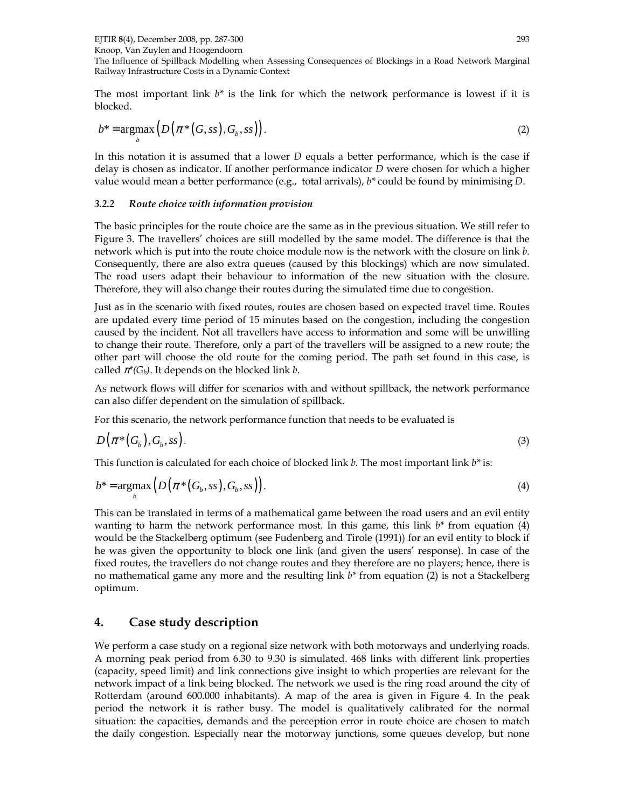EJTIR 8(4), December 2008, pp. 287-300

Knoop, Van Zuylen and Hoogendoorn

The Influence of Spillback Modelling when Assessing Consequences of Blockings in a Road Network Marginal Railway Infrastructure Costs in a Dynamic Context

The most important link  $b^*$  is the link for which the network performance is lowest if it is blocked.

$$
b^* = \underset{b}{\operatorname{argmax}} \left( D\left(\pi^*(G,ss),G_b,ss\right) \right). \tag{2}
$$

In this notation it is assumed that a lower D equals a better performance, which is the case if delay is chosen as indicator. If another performance indicator D were chosen for which a higher value would mean a better performance (e.g., total arrivals),  $b^*$  could be found by minimising D.

#### 3.2.2 Route choice with information provision

The basic principles for the route choice are the same as in the previous situation. We still refer to Figure 3. The travellers' choices are still modelled by the same model. The difference is that the network which is put into the route choice module now is the network with the closure on link b. Consequently, there are also extra queues (caused by this blockings) which are now simulated. The road users adapt their behaviour to information of the new situation with the closure. Therefore, they will also change their routes during the simulated time due to congestion.

Just as in the scenario with fixed routes, routes are chosen based on expected travel time. Routes are updated every time period of 15 minutes based on the congestion, including the congestion caused by the incident. Not all travellers have access to information and some will be unwilling to change their route. Therefore, only a part of the travellers will be assigned to a new route; the other part will choose the old route for the coming period. The path set found in this case, is called  $\pi^*(G_b)$ . It depends on the blocked link b.

As network flows will differ for scenarios with and without spillback, the network performance can also differ dependent on the simulation of spillback.

For this scenario, the network performance function that needs to be evaluated is

$$
D(\pi^*(G_b), G_b, \text{ss}). \tag{3}
$$

This function is calculated for each choice of blocked link  $b$ . The most important link  $b^*$  is:

$$
b^* = \underset{b}{\operatorname{argmax}} \left( D\left(\pi^*(G_b, ss), G_b, ss\right) \right). \tag{4}
$$

This can be translated in terms of a mathematical game between the road users and an evil entity wanting to harm the network performance most. In this game, this link  $b^*$  from equation (4) would be the Stackelberg optimum (see Fudenberg and Tirole (1991)) for an evil entity to block if he was given the opportunity to block one link (and given the users' response). In case of the fixed routes, the travellers do not change routes and they therefore are no players; hence, there is no mathematical game any more and the resulting link  $b^*$  from equation (2) is not a Stackelberg optimum.

# 4. Case study description

We perform a case study on a regional size network with both motorways and underlying roads. A morning peak period from 6.30 to 9.30 is simulated. 468 links with different link properties (capacity, speed limit) and link connections give insight to which properties are relevant for the network impact of a link being blocked. The network we used is the ring road around the city of Rotterdam (around 600.000 inhabitants). A map of the area is given in Figure 4. In the peak period the network it is rather busy. The model is qualitatively calibrated for the normal situation: the capacities, demands and the perception error in route choice are chosen to match the daily congestion. Especially near the motorway junctions, some queues develop, but none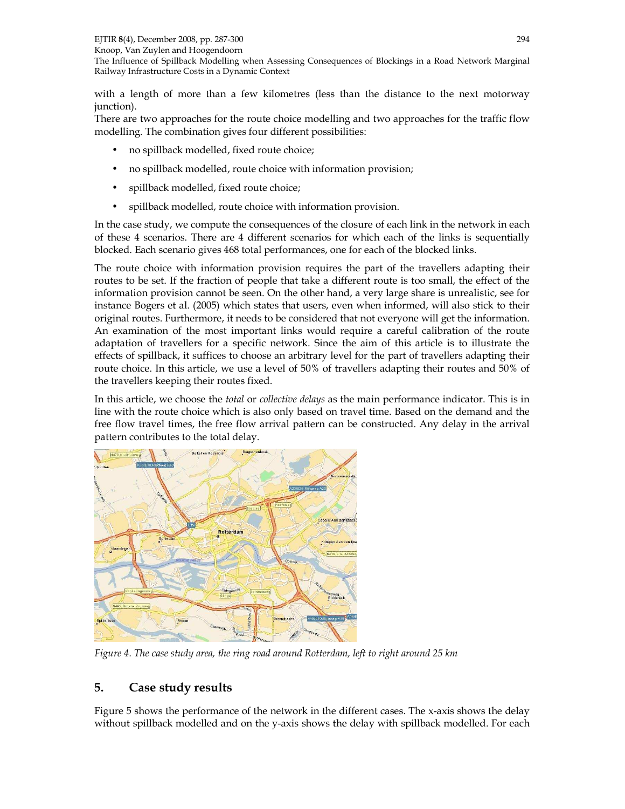The Influence of Spillback Modelling when Assessing Consequences of Blockings in a Road Network Marginal Railway Infrastructure Costs in a Dynamic Context

with a length of more than a few kilometres (less than the distance to the next motorway junction).

There are two approaches for the route choice modelling and two approaches for the traffic flow modelling. The combination gives four different possibilities:

- no spillback modelled, fixed route choice;
- no spillback modelled, route choice with information provision;
- spillback modelled, fixed route choice;
- spillback modelled, route choice with information provision.

In the case study, we compute the consequences of the closure of each link in the network in each of these 4 scenarios. There are 4 different scenarios for which each of the links is sequentially blocked. Each scenario gives 468 total performances, one for each of the blocked links.

The route choice with information provision requires the part of the travellers adapting their routes to be set. If the fraction of people that take a different route is too small, the effect of the information provision cannot be seen. On the other hand, a very large share is unrealistic, see for instance Bogers et al. (2005) which states that users, even when informed, will also stick to their original routes. Furthermore, it needs to be considered that not everyone will get the information. An examination of the most important links would require a careful calibration of the route adaptation of travellers for a specific network. Since the aim of this article is to illustrate the effects of spillback, it suffices to choose an arbitrary level for the part of travellers adapting their route choice. In this article, we use a level of 50% of travellers adapting their routes and 50% of the travellers keeping their routes fixed.

In this article, we choose the total or collective delays as the main performance indicator. This is in line with the route choice which is also only based on travel time. Based on the demand and the free flow travel times, the free flow arrival pattern can be constructed. Any delay in the arrival pattern contributes to the total delay.



Figure 4. The case study area, the ring road around Rotterdam, left to right around 25 km

# 5. Case study results

Figure 5 shows the performance of the network in the different cases. The x-axis shows the delay without spillback modelled and on the y-axis shows the delay with spillback modelled. For each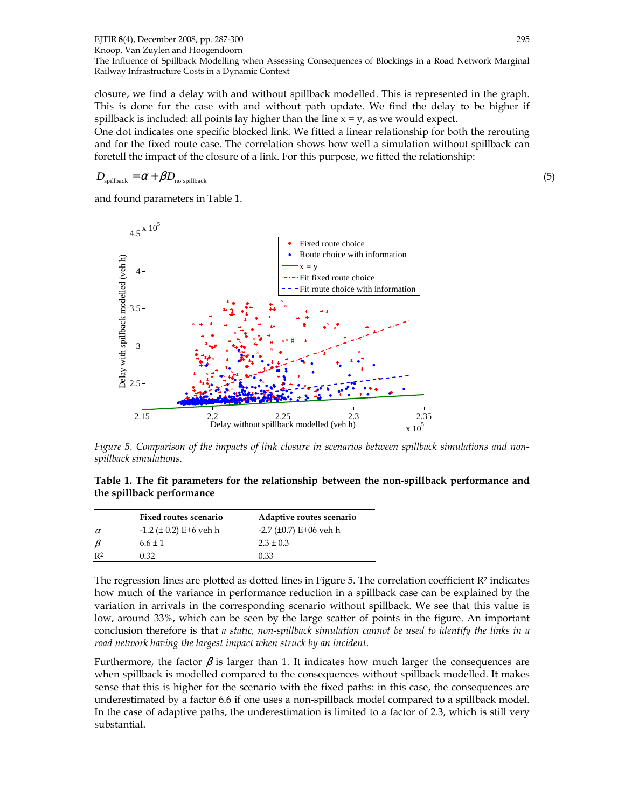closure, we find a delay with and without spillback modelled. This is represented in the graph. This is done for the case with and without path update. We find the delay to be higher if spillback is included: all points lay higher than the line  $x = y$ , as we would expect.

One dot indicates one specific blocked link. We fitted a linear relationship for both the rerouting and for the fixed route case. The correlation shows how well a simulation without spillback can foretell the impact of the closure of a link. For this purpose, we fitted the relationship:

$$
D_{\text{spillback}} = \alpha + \beta D_{\text{no spillback}} \tag{5}
$$

and found parameters in Table 1.



Figure 5. Comparison of the impacts of link closure in scenarios between spillback simulations and nonspillback simulations.

Table 1. The fit parameters for the relationship between the non-spillback performance and the spillback performance

|                | <b>Fixed routes scenario</b>  | Adaptive routes scenario |
|----------------|-------------------------------|--------------------------|
| $\alpha$       | $-1.2$ ( $\pm$ 0.2) E+6 veh h | $-2.7$ (±0.7) E+06 veh h |
| $\beta$        | $6.6 \pm 1$                   | $2.3 \pm 0.3$            |
| R <sup>2</sup> | 0.32                          | 0.33                     |

The regression lines are plotted as dotted lines in Figure 5. The correlation coefficient  $\mathbb{R}^2$  indicates how much of the variance in performance reduction in a spillback case can be explained by the variation in arrivals in the corresponding scenario without spillback. We see that this value is low, around 33%, which can be seen by the large scatter of points in the figure. An important conclusion therefore is that a static, non-spillback simulation cannot be used to identify the links in a road network having the largest impact when struck by an incident.

Furthermore, the factor  $\beta$  is larger than 1. It indicates how much larger the consequences are when spillback is modelled compared to the consequences without spillback modelled. It makes sense that this is higher for the scenario with the fixed paths: in this case, the consequences are underestimated by a factor 6.6 if one uses a non-spillback model compared to a spillback model. In the case of adaptive paths, the underestimation is limited to a factor of 2.3, which is still very substantial.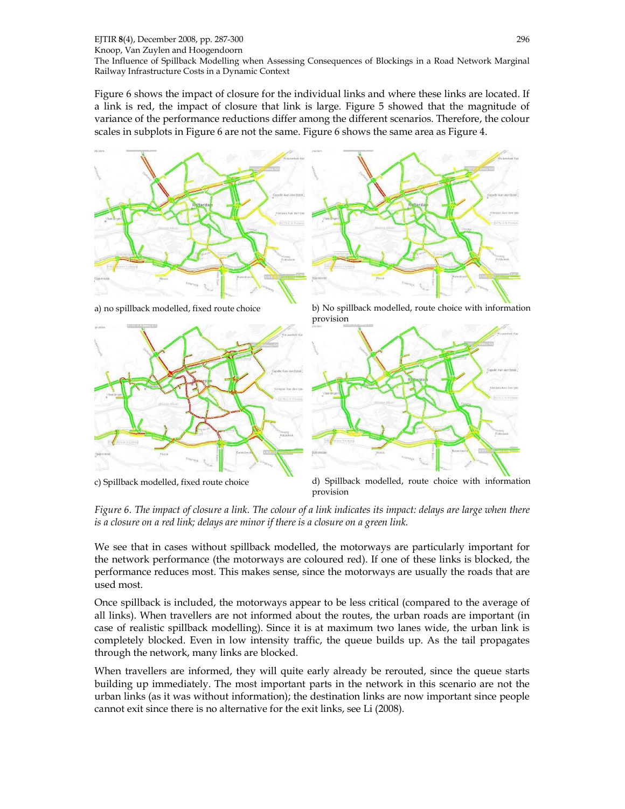Figure 6 shows the impact of closure for the individual links and where these links are located. If a link is red, the impact of closure that link is large. Figure 5 showed that the magnitude of variance of the performance reductions differ among the different scenarios. Therefore, the colour scales in subplots in Figure 6 are not the same. Figure 6 shows the same area as Figure 4.







a) no spillback modelled, fixed route choice b) No spillback modelled, route choice with information provision



c) Spillback modelled, fixed route choice d) Spillback modelled, route choice with information provision

Figure 6. The impact of closure a link. The colour of a link indicates its impact: delays are large when there is a closure on a red link; delays are minor if there is a closure on a green link.

We see that in cases without spillback modelled, the motorways are particularly important for the network performance (the motorways are coloured red). If one of these links is blocked, the performance reduces most. This makes sense, since the motorways are usually the roads that are used most.

Once spillback is included, the motorways appear to be less critical (compared to the average of all links). When travellers are not informed about the routes, the urban roads are important (in case of realistic spillback modelling). Since it is at maximum two lanes wide, the urban link is completely blocked. Even in low intensity traffic, the queue builds up. As the tail propagates through the network, many links are blocked.

When travellers are informed, they will quite early already be rerouted, since the queue starts building up immediately. The most important parts in the network in this scenario are not the urban links (as it was without information); the destination links are now important since people cannot exit since there is no alternative for the exit links, see Li (2008).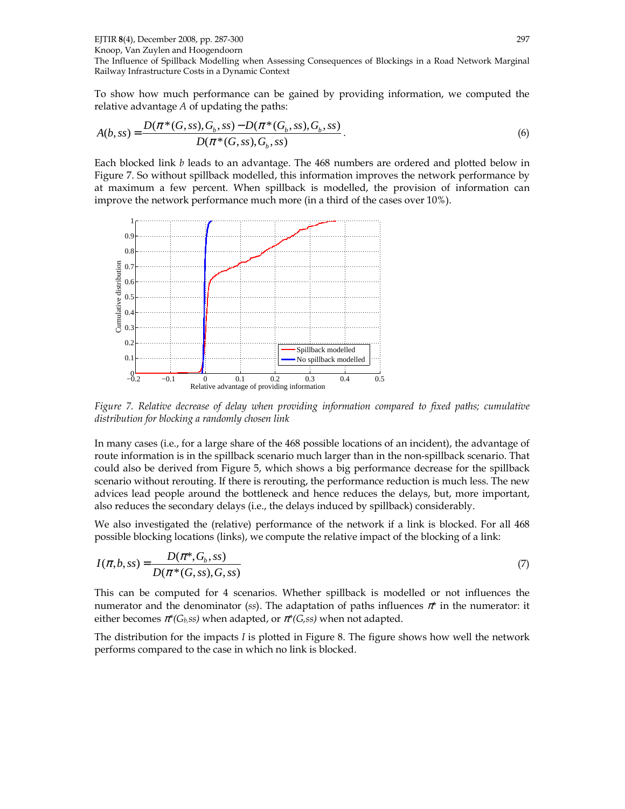EJTIR 8(4), December 2008, pp. 287-300

Knoop, Van Zuylen and Hoogendoorn

The Influence of Spillback Modelling when Assessing Consequences of Blockings in a Road Network Marginal Railway Infrastructure Costs in a Dynamic Context

To show how much performance can be gained by providing information, we computed the relative advantage A of updating the paths:

$$
A(b,ss) = \frac{D(\pi^*(G,ss),G_b,ss) - D(\pi^*(G_b,ss),G_b,ss)}{D(\pi^*(G,ss),G_b,ss)}.
$$
\n(6)

Each blocked link b leads to an advantage. The 468 numbers are ordered and plotted below in Figure 7. So without spillback modelled, this information improves the network performance by at maximum a few percent. When spillback is modelled, the provision of information can improve the network performance much more (in a third of the cases over 10%).



Figure 7. Relative decrease of delay when providing information compared to fixed paths; cumulative distribution for blocking a randomly chosen link

In many cases (i.e., for a large share of the 468 possible locations of an incident), the advantage of route information is in the spillback scenario much larger than in the non-spillback scenario. That could also be derived from Figure 5, which shows a big performance decrease for the spillback scenario without rerouting. If there is rerouting, the performance reduction is much less. The new advices lead people around the bottleneck and hence reduces the delays, but, more important, also reduces the secondary delays (i.e., the delays induced by spillback) considerably.

We also investigated the (relative) performance of the network if a link is blocked. For all 468 possible blocking locations (links), we compute the relative impact of the blocking of a link:

$$
I(\pi, b, ss) = \frac{D(\pi^*, G_b, ss)}{D(\pi^*(G, ss), G, ss)}
$$
\n
$$
(7)
$$

This can be computed for 4 scenarios. Whether spillback is modelled or not influences the numerator and the denominator (ss). The adaptation of paths influences  $\pi^*$  in the numerator: it either becomes  $\pi^*(G_b,ss)$  when adapted, or  $\pi^*(G,ss)$  when not adapted.

The distribution for the impacts I is plotted in Figure 8. The figure shows how well the network performs compared to the case in which no link is blocked.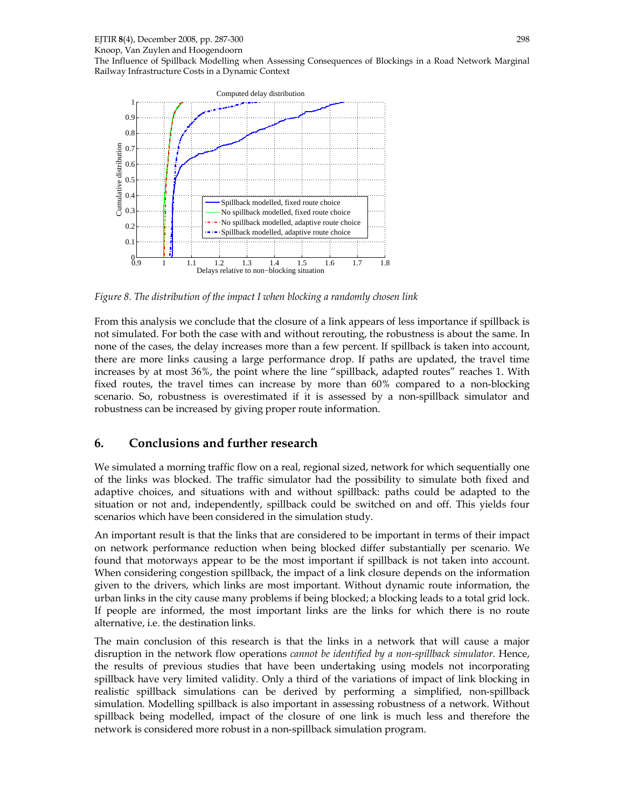Knoop, Van Zuylen and Hoogendoorn The Influence of Spillback Modelling when Assessing Consequences of Blockings in a Road Network Marginal Railway Infrastructure Costs in a Dynamic Context



Figure 8. The distribution of the impact I when blocking a randomly chosen link

From this analysis we conclude that the closure of a link appears of less importance if spillback is not simulated. For both the case with and without rerouting, the robustness is about the same. In none of the cases, the delay increases more than a few percent. If spillback is taken into account, there are more links causing a large performance drop. If paths are updated, the travel time increases by at most 36%, the point where the line "spillback, adapted routes" reaches 1. With fixed routes, the travel times can increase by more than 60% compared to a non-blocking scenario. So, robustness is overestimated if it is assessed by a non-spillback simulator and robustness can be increased by giving proper route information.

# 6. Conclusions and further research

We simulated a morning traffic flow on a real, regional sized, network for which sequentially one of the links was blocked. The traffic simulator had the possibility to simulate both fixed and adaptive choices, and situations with and without spillback: paths could be adapted to the situation or not and, independently, spillback could be switched on and off. This yields four scenarios which have been considered in the simulation study.

An important result is that the links that are considered to be important in terms of their impact on network performance reduction when being blocked differ substantially per scenario. We found that motorways appear to be the most important if spillback is not taken into account. When considering congestion spillback, the impact of a link closure depends on the information given to the drivers, which links are most important. Without dynamic route information, the urban links in the city cause many problems if being blocked; a blocking leads to a total grid lock. If people are informed, the most important links are the links for which there is no route alternative, i.e. the destination links.

The main conclusion of this research is that the links in a network that will cause a major disruption in the network flow operations *cannot be identified by a non-spillback simulator*. Hence, the results of previous studies that have been undertaking using models not incorporating spillback have very limited validity. Only a third of the variations of impact of link blocking in realistic spillback simulations can be derived by performing a simplified, non-spillback simulation. Modelling spillback is also important in assessing robustness of a network. Without spillback being modelled, impact of the closure of one link is much less and therefore the network is considered more robust in a non-spillback simulation program.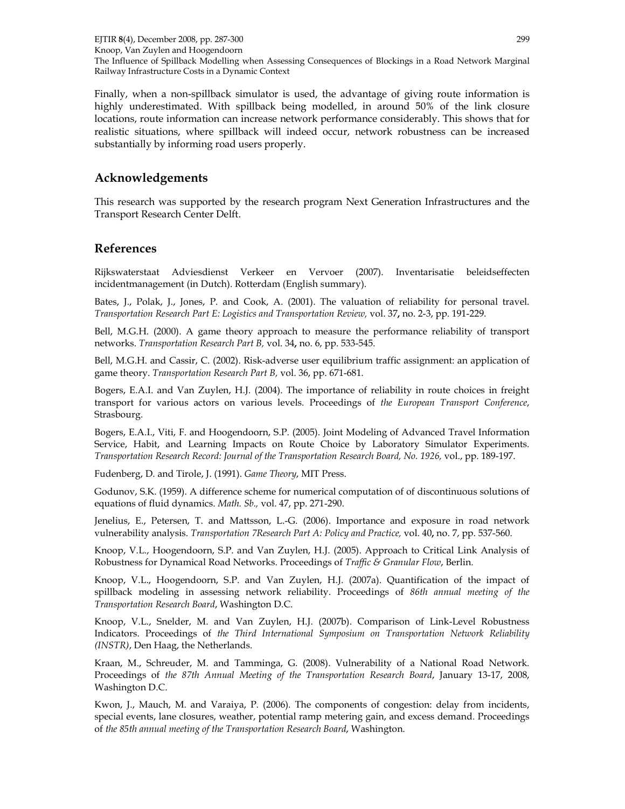EJTIR 8(4), December 2008, pp. 287-300 Knoop, Van Zuylen and Hoogendoorn The Influence of Spillback Modelling when Assessing Consequences of Blockings in a Road Network Marginal Railway Infrastructure Costs in a Dynamic Context 299

Finally, when a non-spillback simulator is used, the advantage of giving route information is highly underestimated. With spillback being modelled, in around 50% of the link closure locations, route information can increase network performance considerably. This shows that for realistic situations, where spillback will indeed occur, network robustness can be increased substantially by informing road users properly.

#### Acknowledgements

This research was supported by the research program Next Generation Infrastructures and the Transport Research Center Delft.

#### References

Rijkswaterstaat Adviesdienst Verkeer en Vervoer (2007). Inventarisatie beleidseffecten incidentmanagement (in Dutch). Rotterdam (English summary).

Bates, J., Polak, J., Jones, P. and Cook, A. (2001). The valuation of reliability for personal travel. Transportation Research Part E: Logistics and Transportation Review, vol. 37, no. 2-3, pp. 191-229.

Bell, M.G.H. (2000). A game theory approach to measure the performance reliability of transport networks. Transportation Research Part B, vol. 34, no. 6, pp. 533-545.

Bell, M.G.H. and Cassir, C. (2002). Risk-adverse user equilibrium traffic assignment: an application of game theory. Transportation Research Part B, vol. 36, pp. 671-681.

Bogers, E.A.I. and Van Zuylen, H.J. (2004). The importance of reliability in route choices in freight transport for various actors on various levels. Proceedings of the European Transport Conference, Strasbourg.

Bogers, E.A.I., Viti, F. and Hoogendoorn, S.P. (2005). Joint Modeling of Advanced Travel Information Service, Habit, and Learning Impacts on Route Choice by Laboratory Simulator Experiments. Transportation Research Record: Journal of the Transportation Research Board, No. 1926, vol., pp. 189-197.

Fudenberg, D. and Tirole, J. (1991). Game Theory, MIT Press.

Godunov, S.K. (1959). A difference scheme for numerical computation of of discontinuous solutions of equations of fluid dynamics. Math. Sb., vol. 47, pp. 271-290.

Jenelius, E., Petersen, T. and Mattsson, L.-G. (2006). Importance and exposure in road network vulnerability analysis. Transportation 7Research Part A: Policy and Practice, vol. 40, no. 7, pp. 537-560.

Knoop, V.L., Hoogendoorn, S.P. and Van Zuylen, H.J. (2005). Approach to Critical Link Analysis of Robustness for Dynamical Road Networks. Proceedings of Traffic & Granular Flow, Berlin.

Knoop, V.L., Hoogendoorn, S.P. and Van Zuylen, H.J. (2007a). Quantification of the impact of spillback modeling in assessing network reliability. Proceedings of 86th annual meeting of the Transportation Research Board, Washington D.C.

Knoop, V.L., Snelder, M. and Van Zuylen, H.J. (2007b). Comparison of Link-Level Robustness Indicators. Proceedings of the Third International Symposium on Transportation Network Reliability (INSTR), Den Haag, the Netherlands.

Kraan, M., Schreuder, M. and Tamminga, G. (2008). Vulnerability of a National Road Network. Proceedings of the 87th Annual Meeting of the Transportation Research Board, January 13-17, 2008, Washington D.C.

Kwon, J., Mauch, M. and Varaiya, P. (2006). The components of congestion: delay from incidents, special events, lane closures, weather, potential ramp metering gain, and excess demand. Proceedings of the 85th annual meeting of the Transportation Research Board, Washington.